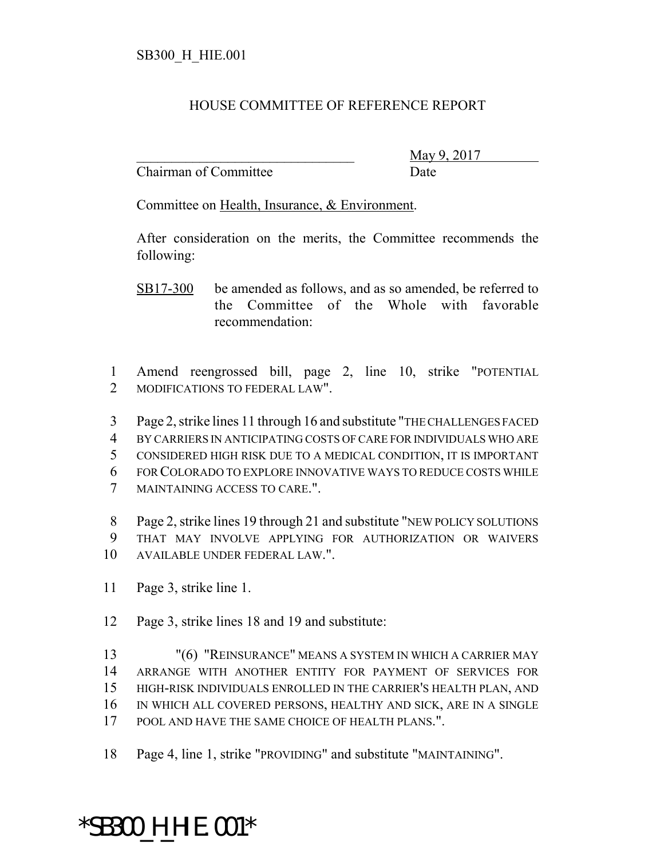## HOUSE COMMITTEE OF REFERENCE REPORT

Chairman of Committee **Date** 

\_\_\_\_\_\_\_\_\_\_\_\_\_\_\_\_\_\_\_\_\_\_\_\_\_\_\_\_\_\_\_ May 9, 2017

Committee on Health, Insurance, & Environment.

After consideration on the merits, the Committee recommends the following:

- SB17-300 be amended as follows, and as so amended, be referred to the Committee of the Whole with favorable recommendation:
- Amend reengrossed bill, page 2, line 10, strike "POTENTIAL MODIFICATIONS TO FEDERAL LAW".
- Page 2, strike lines 11 through 16 and substitute "THE CHALLENGES FACED
- BY CARRIERS IN ANTICIPATING COSTS OF CARE FOR INDIVIDUALS WHO ARE
- CONSIDERED HIGH RISK DUE TO A MEDICAL CONDITION, IT IS IMPORTANT
- FOR COLORADO TO EXPLORE INNOVATIVE WAYS TO REDUCE COSTS WHILE
- MAINTAINING ACCESS TO CARE.".
- Page 2, strike lines 19 through 21 and substitute "NEW POLICY SOLUTIONS THAT MAY INVOLVE APPLYING FOR AUTHORIZATION OR WAIVERS AVAILABLE UNDER FEDERAL LAW.".
- Page 3, strike line 1.
- Page 3, strike lines 18 and 19 and substitute:
- "(6) "REINSURANCE" MEANS A SYSTEM IN WHICH A CARRIER MAY ARRANGE WITH ANOTHER ENTITY FOR PAYMENT OF SERVICES FOR HIGH-RISK INDIVIDUALS ENROLLED IN THE CARRIER'S HEALTH PLAN, AND IN WHICH ALL COVERED PERSONS, HEALTHY AND SICK, ARE IN A SINGLE POOL AND HAVE THE SAME CHOICE OF HEALTH PLANS.".
- Page 4, line 1, strike "PROVIDING" and substitute "MAINTAINING".

## \*SB300\_H\_HIE.001\*